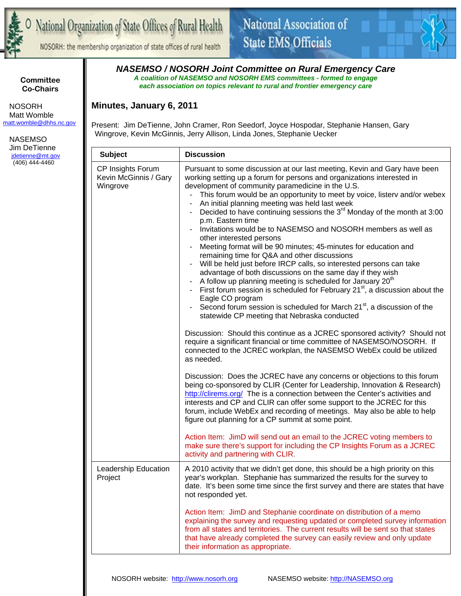

NOSORH: the membership organization of state offices of rural health



**Committee Co-Chairs** 

 NOSORH Matt Womble matt.womble@dhhs.nc.gov

 NASEMSO Jim DeTienne jdetienne@mt.gov (406) 444-4460

*NASEMSO / NOSORH Joint Committee on Rural Emergency Care A coalition of NASEMSO and NOSORH EMS committees - formed to engage each association on topics relevant to rural and frontier emergency care* 

## **Minutes, January 6, 2011**

Present: Jim DeTienne, John Cramer, Ron Seedorf, Joyce Hospodar, Stephanie Hansen, Gary Wingrove, Kevin McGinnis, Jerry Allison, Linda Jones, Stephanie Uecker

| <b>Subject</b>                                         | <b>Discussion</b>                                                                                                                                                                                                                                                                                                                                                                                                                                                                                                                                                                                                                                                                                                                                                                                                                                                                                                                                                                                                                                                                                                                                                                                                                                                                                                                                                         |
|--------------------------------------------------------|---------------------------------------------------------------------------------------------------------------------------------------------------------------------------------------------------------------------------------------------------------------------------------------------------------------------------------------------------------------------------------------------------------------------------------------------------------------------------------------------------------------------------------------------------------------------------------------------------------------------------------------------------------------------------------------------------------------------------------------------------------------------------------------------------------------------------------------------------------------------------------------------------------------------------------------------------------------------------------------------------------------------------------------------------------------------------------------------------------------------------------------------------------------------------------------------------------------------------------------------------------------------------------------------------------------------------------------------------------------------------|
| CP Insights Forum<br>Kevin McGinnis / Gary<br>Wingrove | Pursuant to some discussion at our last meeting, Kevin and Gary have been<br>working setting up a forum for persons and organizations interested in<br>development of community paramedicine in the U.S.<br>This forum would be an opportunity to meet by voice, listery and/or webex<br>An initial planning meeting was held last week<br>Decided to have continuing sessions the $3rd$ Monday of the month at 3:00<br>p.m. Eastern time<br>Invitations would be to NASEMSO and NOSORH members as well as<br>other interested persons<br>Meeting format will be 90 minutes; 45-minutes for education and<br>remaining time for Q&A and other discussions<br>- Will be held just before IRCP calls, so interested persons can take<br>advantage of both discussions on the same day if they wish<br>A follow up planning meeting is scheduled for January 20 <sup>th</sup><br>- First forum session is scheduled for February $21^{st}$ , a discussion about the<br>Eagle CO program<br>Second forum session is scheduled for March 21 <sup>st</sup> , a discussion of the<br>statewide CP meeting that Nebraska conducted<br>Discussion: Should this continue as a JCREC sponsored activity? Should not<br>require a significant financial or time committee of NASEMSO/NOSORH. If<br>connected to the JCREC workplan, the NASEMSO WebEx could be utilized<br>as needed. |
|                                                        | Discussion: Does the JCREC have any concerns or objections to this forum<br>being co-sponsored by CLIR (Center for Leadership, Innovation & Research)<br>http://clirems.org/ The is a connection between the Center's activities and<br>interests and CP and CLIR can offer some support to the JCREC for this<br>forum, include WebEx and recording of meetings. May also be able to help<br>figure out planning for a CP summit at some point.<br>Action Item: JimD will send out an email to the JCREC voting members to<br>make sure there's support for including the CP Insights Forum as a JCREC<br>activity and partnering with CLIR.                                                                                                                                                                                                                                                                                                                                                                                                                                                                                                                                                                                                                                                                                                                             |
| Leadership Education<br>Project                        | A 2010 activity that we didn't get done, this should be a high priority on this<br>year's workplan. Stephanie has summarized the results for the survey to<br>date. It's been some time since the first survey and there are states that have<br>not responded yet.<br>Action Item: JimD and Stephanie coordinate on distribution of a memo                                                                                                                                                                                                                                                                                                                                                                                                                                                                                                                                                                                                                                                                                                                                                                                                                                                                                                                                                                                                                               |
|                                                        | explaining the survey and requesting updated or completed survey information<br>from all states and territories. The current results will be sent so that states<br>that have already completed the survey can easily review and only update<br>their information as appropriate.                                                                                                                                                                                                                                                                                                                                                                                                                                                                                                                                                                                                                                                                                                                                                                                                                                                                                                                                                                                                                                                                                         |